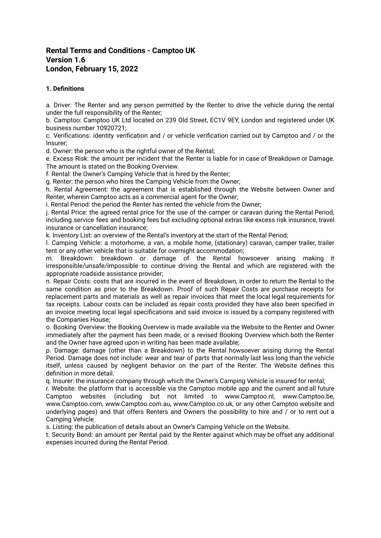# **Rental Terms and Conditions - Camptoo UK Version 1.6 London, February 15, 2022**

# **1. Definitions**

a. Driver: The Renter and any person permitted by the Renter to drive the vehicle during the rental under the full responsibility of the Renter;

b. Camptoo: Camptoo UK Ltd located on 239 Old Street, EC1V 9EY, London and registered under UK business number 10920721;

c. Verifications: identity verification and / or vehicle verification carried out by Camptoo and / or the Insurer;

d. Owner: the person who is the rightful owner of the Rental;

e. Excess Risk: the amount per incident that the Renter is liable for in case of Breakdown or Damage. The amount is stated on the Booking Overview.

f. Rental: the Owner's Camping Vehicle that is hired by the Renter;

g. Renter: the person who hires the Camping Vehicle from the Owner;

h. Rental Agreement: the agreement that is established through the Website between Owner and Renter, wherein Camptoo acts as a commercial agent for the Owner;

i. Rental Period: the period the Renter has rented the vehicle from the Owner;

j. Rental Price: the agreed rental price for the use of the camper or caravan during the Rental Period, including service fees and booking fees but excluding optional extras like excess risk insurance, travel insurance or cancellation insurance;

k. Inventory List: an overview of the Rental's inventory at the start of the Rental Period;

l. Camping Vehicle: a motorhome, a van, a mobile home, (stationary) caravan, camper trailer, trailer tent or any other vehicle that is suitable for overnight accommodation;

m. Breakdown: breakdown or damage of the Rental howsoever arising making it irresponsible/unsafe/impossible to continue driving the Rental and which are registered with the appropriate roadside assistance provider;

n. Repair Costs: costs that are incurred in the event of Breakdown, in order to return the Rental to the same condition as prior to the Breakdown. Proof of such Repair Costs are purchase receipts for replacement parts and materials as well as repair invoices that meet the local legal requirements for tax receipts. Labour costs can be included as repair costs provided they have also been specified in an invoice meeting local legal specifications and said invoice is issued by a company registered with the Companies House;

o. Booking Overview: the Booking Overview is made available via the Website to the Renter and Owner immediately after the payment has been made, or a revised Booking Overview which both the Renter and the Owner have agreed upon in writing has been made available;

p. Damage: damage (other than a Breakdown) to the Rental howsoever arising during the Rental Period. Damage does not include: wear and tear of parts that normally last less long than the vehicle itself, unless caused by negligent behavior on the part of the Renter. The Website defines this definition in more detail.

q. Insurer: the insurance company through which the Owner's Camping Vehicle is insured for rental;

r. Website: the platform that is accessible via the Camptoo mobile app and the current and all future Camptoo websites (including but not limited to www.Camptoo.nl, www.Camptoo.be, www.Camptoo.com, www.Camptoo.com.au, www.Camptoo.co.uk, or any other Camptoo website and underlying pages) and that offers Renters and Owners the possibility to hire and / or to rent out a Camping Vehicle.

s. Listing: the publication of details about an Owner's Camping Vehicle on the Website.

t. Security Bond: an amount per Rental paid by the Renter against which may be offset any additional expenses incurred during the Rental Period.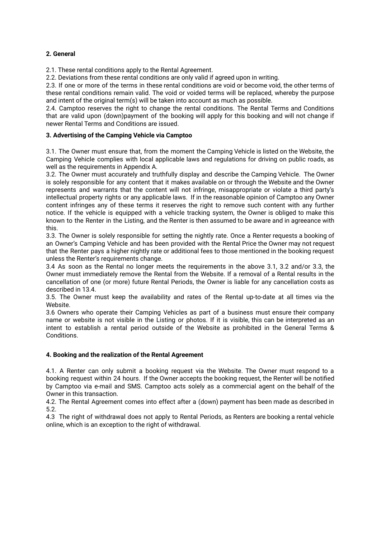# **2. General**

2.1. These rental conditions apply to the Rental Agreement.

2.2. Deviations from these rental conditions are only valid if agreed upon in writing.

2.3. If one or more of the terms in these rental conditions are void or become void, the other terms of these rental conditions remain valid. The void or voided terms will be replaced, whereby the purpose and intent of the original term(s) will be taken into account as much as possible.

2.4. Camptoo reserves the right to change the rental conditions. The Rental Terms and Conditions that are valid upon (down)payment of the booking will apply for this booking and will not change if newer Rental Terms and Conditions are issued.

# **3. Advertising of the Camping Vehicle via Camptoo**

3.1. The Owner must ensure that, from the moment the Camping Vehicle is listed on the Website, the Camping Vehicle complies with local applicable laws and regulations for driving on public roads, as well as the requirements in Appendix A.

3.2. The Owner must accurately and truthfully display and describe the Camping Vehicle. The Owner is solely responsible for any content that it makes available on or through the Website and the Owner represents and warrants that the content will not infringe, misappropriate or violate a third party's intellectual property rights or any applicable laws. If in the reasonable opinion of Camptoo any Owner content infringes any of these terms it reserves the right to remove such content with any further notice. If the vehicle is equipped with a vehicle tracking system, the Owner is obliged to make this known to the Renter in the Listing, and the Renter is then assumed to be aware and in agreeance with this.

3.3. The Owner is solely responsible for setting the nightly rate. Once a Renter requests a booking of an Owner's Camping Vehicle and has been provided with the Rental Price the Owner may not request that the Renter pays a higher nightly rate or additional fees to those mentioned in the booking request unless the Renter's requirements change.

3.4 As soon as the Rental no longer meets the requirements in the above 3.1, 3.2 and/or 3.3, the Owner must immediately remove the Rental from the Website. If a removal of a Rental results in the cancellation of one (or more) future Rental Periods, the Owner is liable for any cancellation costs as described in 13.4.

3.5. The Owner must keep the availability and rates of the Rental up-to-date at all times via the Website.

3.6 Owners who operate their Camping Vehicles as part of a business must ensure their company name or website is not visible in the Listing or photos. If it is visible, this can be interpreted as an intent to establish a rental period outside of the Website as prohibited in the General Terms & Conditions.

# **4. Booking and the realization of the Rental Agreement**

4.1. A Renter can only submit a booking request via the Website. The Owner must respond to a booking request within 24 hours. If the Owner accepts the booking request, the Renter will be notified by Camptoo via e-mail and SMS. Camptoo acts solely as a commercial agent on the behalf of the Owner in this transaction.

4.2. The Rental Agreement comes into effect after a (down) payment has been made as described in 5.2.

4.3 The right of withdrawal does not apply to Rental Periods, as Renters are booking a rental vehicle online, which is an exception to the right of withdrawal.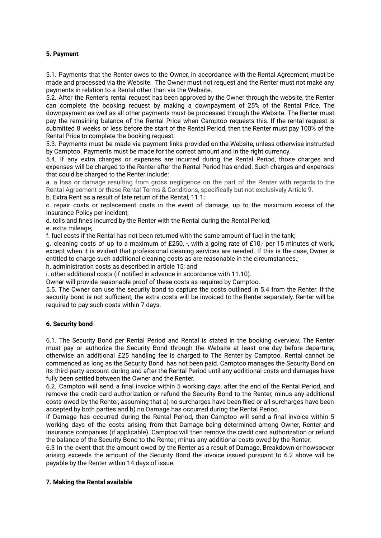## **5. Payment**

5.1. Payments that the Renter owes to the Owner, in accordance with the Rental Agreement, must be made and processed via the Website. The Owner must not request and the Renter must not make any payments in relation to a Rental other than via the Website.

5.2. After the Renter's rental request has been approved by the Owner through the website, the Renter can complete the booking request by making a downpayment of 25% of the Rental Price. The downpayment as well as all other payments must be processed through the Website. The Renter must pay the remaining balance of the Rental Price when Camptoo requests this. If the rental request is submitted 8 weeks or less before the start of the Rental Period, then the Renter must pay 100% of the Rental Price to complete the booking request.

5.3. Payments must be made via payment links provided on the Website, unless otherwise instructed by Camptoo. Payments must be made for the correct amount and in the right currency.

5.4. If any extra charges or expenses are incurred during the Rental Period, those charges and expenses will be charged to the Renter after the Rental Period has ended. Such charges and expenses that could be charged to the Renter include:

a. a loss or damage resulting from gross negligence on the part of the Renter with regards to the Rental Agreement or these Rental Terms & Conditions, specifically but not exclusively Article 9.

b. Extra Rent as a result of late return of the Rental, 11.1;

c. repair costs or replacement costs in the event of damage, up to the maximum excess of the Insurance Policy per incident;

d. tolls and fines incurred by the Renter with the Rental during the Rental Period;

e. extra mileage:

f. fuel costs if the Rental has not been returned with the same amount of fuel in the tank;

g. cleaning costs of up to a maximum of £250, -, with a going rate of £10,- per 15 minutes of work, except when it is evident that professional cleaning services are needed. If this is the case, Owner is entitled to charge such additional cleaning costs as are reasonable in the circumstances.;

h. administration costs as described in article 15; and

i. other additional costs (if notified in advance in accordance with 11.10).

Owner will provide reasonable proof of these costs as required by Camptoo.

5.5. The Owner can use the security bond to capture the costs outlined in 5.4 from the Renter. If the security bond is not sufficient, the extra costs will be invoiced to the Renter separately. Renter will be required to pay such costs within 7 days.

# **6. Security bond**

6.1. The Security Bond per Rental Period and Rental is stated in the booking overview. The Renter must pay or authorize the Security Bond through the Website at least one day before departure, otherwise an additional £25 handling fee is charged to The Renter by Camptoo. Rental cannot be commenced as long as the Security Bond has not been paid. Camptoo manages the Security Bond on its third-party account during and after the Rental Period until any additional costs and damages have fully been settled between the Owner and the Renter.

6.2. Camptoo will send a final invoice within 5 working days, after the end of the Rental Period, and remove the credit card authorization or refund the Security Bond to the Renter, minus any additional costs owed by the Renter, assuming that a) no surcharges have been filed or all surcharges have been accepted by both parties and b) no Damage has occurred during the Rental Period.

If Damage has occurred during the Rental Period, then Camptoo will send a final invoice within 5 working days of the costs arising from that Damage being determined among Owner, Renter and Insurance companies (if applicable). Camptoo will then remove the credit card authorization or refund the balance of the Security Bond to the Renter, minus any additional costs owed by the Renter.

6.3 In the event that the amount owed by the Renter as a result of Damage, Breakdown or howsoever arising exceeds the amount of the Security Bond the invoice issued pursuant to 6.2 above will be payable by the Renter within 14 days of issue.

#### **7. Making the Rental available**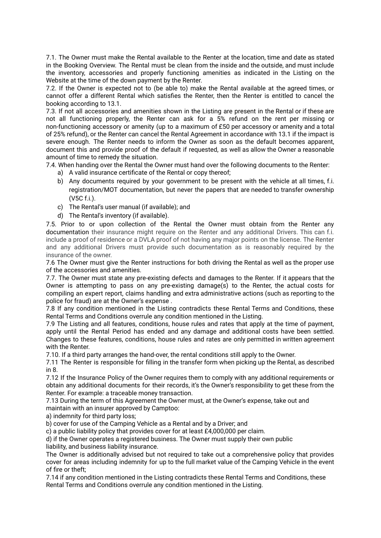7.1. The Owner must make the Rental available to the Renter at the location, time and date as stated in the Booking Overview. The Rental must be clean from the inside and the outside, and must include the inventory, accessories and properly functioning amenities as indicated in the Listing on the Website at the time of the down payment by the Renter.

7.2. If the Owner is expected not to (be able to) make the Rental available at the agreed times, or cannot offer a different Rental which satisfies the Renter, then the Renter is entitled to cancel the booking according to 13.1.

7.3. If not all accessories and amenities shown in the Listing are present in the Rental or if these are not all functioning properly, the Renter can ask for a 5% refund on the rent per missing or non-functioning accessory or amenity (up to a maximum of £50 per accessory or amenity and a total of 25% refund), or the Renter can cancel the Rental Agreement in accordance with 13.1 if the impact is severe enough. The Renter needs to inform the Owner as soon as the default becomes apparent, document this and provide proof of the default if requested, as well as allow the Owner a reasonable amount of time to remedy the situation.

7.4. When handing over the Rental the Owner must hand over the following documents to the Renter:

- a) A valid insurance certificate of the Rental or copy thereof;
- b) Any documents required by your government to be present with the vehicle at all times, f.i. registration/MOT documentation, but never the papers that are needed to transfer ownership (V5C f.i.).
- c) The Rental's user manual (if available); and
- d) The Rental's inventory (if available).

7.5. Prior to or upon collection of the Rental the Owner must obtain from the Renter any documentation their insurance might require on the Renter and any additional Drivers. This can f.i. include a proof of residence or a DVLA proof of not having any major points on the license. The Renter and any additional Drivers must provide such documentation as is reasonably required by the insurance of the owner.

7.6 The Owner must give the Renter instructions for both driving the Rental as well as the proper use of the accessories and amenities.

7.7. The Owner must state any pre-existing defects and damages to the Renter. If it appears that the Owner is attempting to pass on any pre-existing damage(s) to the Renter, the actual costs for compiling an expert report, claims handling and extra administrative actions (such as reporting to the police for fraud) are at the Owner's expense .

7.8 If any condition mentioned in the Listing contradicts these Rental Terms and Conditions, these Rental Terms and Conditions overrule any condition mentioned in the Listing.

7.9 The Listing and all features, conditions, house rules and rates that apply at the time of payment, apply until the Rental Period has ended and any damage and additional costs have been settled. Changes to these features, conditions, house rules and rates are only permitted in written agreement with the Renter.

7.10. If a third party arranges the hand-over, the rental conditions still apply to the Owner.

7.11 The Renter is responsible for filling in the transfer form when picking up the Rental, as described in 8.

7.12 If the Insurance Policy of the Owner requires them to comply with any additional requirements or obtain any additional documents for their records, it's the Owner's responsibility to get these from the Renter. For example: a traceable money transaction.

7.13 During the term of this Agreement the Owner must, at the Owner's expense, take out and maintain with an insurer approved by Camptoo:

a) indemnity for third party loss;

b) cover for use of the Camping Vehicle as a Rental and by a Driver; and

c) a public liability policy that provides cover for at least £4,000,000 per claim.

d) if the Owner operates a registered business. The Owner must supply their own public

liability, and business liability insurance.

The Owner is additionally advised but not required to take out a comprehensive policy that provides cover for areas including indemnity for up to the full market value of the Camping Vehicle in the event of fire or theft;

7.14 if any condition mentioned in the Listing contradicts these Rental Terms and Conditions, these Rental Terms and Conditions overrule any condition mentioned in the Listing.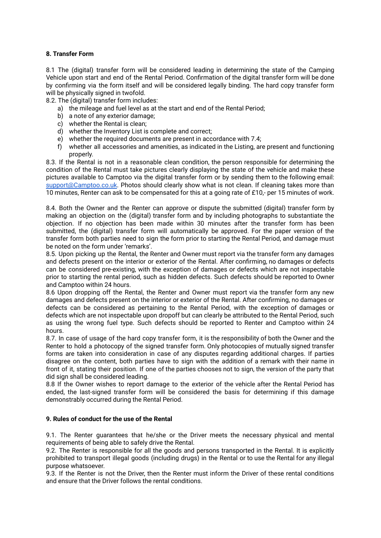# **8. Transfer Form**

8.1 The (digital) transfer form will be considered leading in determining the state of the Camping Vehicle upon start and end of the Rental Period. Confirmation of the digital transfer form will be done by confirming via the form itself and will be considered legally binding. The hard copy transfer form will be physically signed in twofold.

8.2. The (digital) transfer form includes:

- a) the mileage and fuel level as at the start and end of the Rental Period;
- b) a note of any exterior damage;
- c) whether the Rental is clean;
- d) whether the Inventory List is complete and correct;
- e) whether the required documents are present in accordance with 7.4;
- f) whether all accessories and amenities, as indicated in the Listing, are present and functioning properly.

8.3. If the Rental is not in a reasonable clean condition, the person responsible for determining the condition of the Rental must take pictures clearly displaying the state of the vehicle and make these pictures available to Camptoo via the digital transfer form or by sending them to the following email: [support@Camptoo.co.uk](mailto:support@Camptoo.co.uk). Photos should clearly show what is not clean. If cleaning takes more than 10 minutes, Renter can ask to be compensated for this at a going rate of £10,- per 15 minutes of work.

8.4. Both the Owner and the Renter can approve or dispute the submitted (digital) transfer form by making an objection on the (digital) transfer form and by including photographs to substantiate the objection. If no objection has been made within 30 minutes after the transfer form has been submitted, the (digital) transfer form will automatically be approved. For the paper version of the transfer form both parties need to sign the form prior to starting the Rental Period, and damage must be noted on the form under 'remarks'.

8.5. Upon picking up the Rental, the Renter and Owner must report via the transfer form any damages and defects present on the interior or exterior of the Rental. After confirming, no damages or defects can be considered pre-existing, with the exception of damages or defects which are not inspectable prior to starting the rental period, such as hidden defects. Such defects should be reported to Owner and Camptoo within 24 hours.

8.6 Upon dropping off the Rental, the Renter and Owner must report via the transfer form any new damages and defects present on the interior or exterior of the Rental. After confirming, no damages or defects can be considered as pertaining to the Rental Period, with the exception of damages or defects which are not inspectable upon dropoff but can clearly be attributed to the Rental Period, such as using the wrong fuel type. Such defects should be reported to Renter and Camptoo within 24 hours.

8.7. In case of usage of the hard copy transfer form, it is the responsibility of both the Owner and the Renter to hold a photocopy of the signed transfer form. Only photocopies of mutually signed transfer forms are taken into consideration in case of any disputes regarding additional charges. If parties disagree on the content, both parties have to sign with the addition of a remark with their name in front of it, stating their position. If one of the parties chooses not to sign, the version of the party that did sign shall be considered leading.

8.8 If the Owner wishes to report damage to the exterior of the vehicle after the Rental Period has ended, the last-signed transfer form will be considered the basis for determining if this damage demonstrably occurred during the Rental Period.

# **9. Rules of conduct for the use of the Rental**

9.1. The Renter guarantees that he/she or the Driver meets the necessary physical and mental requirements of being able to safely drive the Rental.

9.2. The Renter is responsible for all the goods and persons transported in the Rental. It is explicitly prohibited to transport illegal goods (including drugs) in the Rental or to use the Rental for any illegal purpose whatsoever.

9.3. If the Renter is not the Driver, then the Renter must inform the Driver of these rental conditions and ensure that the Driver follows the rental conditions.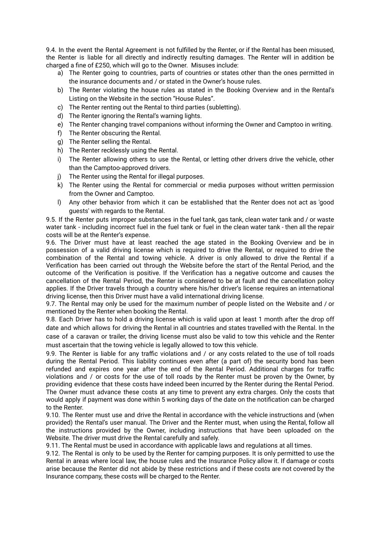9.4. In the event the Rental Agreement is not fulfilled by the Renter, or if the Rental has been misused, the Renter is liable for all directly and indirectly resulting damages. The Renter will in addition be charged a fine of £250, which will go to the Owner. Misuses include:

- a) The Renter going to countries, parts of countries or states other than the ones permitted in the insurance documents and / or stated in the Owner's house rules.
- b) The Renter violating the house rules as stated in the Booking Overview and in the Rental's Listing on the Website in the section "House Rules".
- c) The Renter renting out the Rental to third parties (subletting).
- d) The Renter ignoring the Rental's warning lights.
- e) The Renter changing travel companions without informing the Owner and Camptoo in writing.
- f) The Renter obscuring the Rental.
- g) The Renter selling the Rental.
- h) The Renter recklessly using the Rental.
- i) The Renter allowing others to use the Rental, or letting other drivers drive the vehicle, other than the Camptoo-approved drivers.
- j) The Renter using the Rental for illegal purposes.
- k) The Renter using the Rental for commercial or media purposes without written permission from the Owner and Camptoo.
- l) Any other behavior from which it can be established that the Renter does not act as 'good guests' with regards to the Rental.

9.5. If the Renter puts improper substances in the fuel tank, gas tank, clean water tank and / or waste water tank - including incorrect fuel in the fuel tank or fuel in the clean water tank - then all the repair costs will be at the Renter's expense.

9.6. The Driver must have at least reached the age stated in the Booking Overview and be in possession of a valid driving license which is required to drive the Rental, or required to drive the combination of the Rental and towing vehicle. A driver is only allowed to drive the Rental if a Verification has been carried out through the Website before the start of the Rental Period, and the outcome of the Verification is positive. If the Verification has a negative outcome and causes the cancellation of the Rental Period, the Renter is considered to be at fault and the cancellation policy applies. If the Driver travels through a country where his/her driver's license requires an international driving license, then this Driver must have a valid international driving license.

9.7. The Rental may only be used for the maximum number of people listed on the Website and / or mentioned by the Renter when booking the Rental.

9.8. Each Driver has to hold a driving license which is valid upon at least 1 month after the drop off date and which allows for driving the Rental in all countries and states travelled with the Rental. In the case of a caravan or trailer, the driving license must also be valid to tow this vehicle and the Renter must ascertain that the towing vehicle is legally allowed to tow this vehicle.

9.9. The Renter is liable for any traffic violations and / or any costs related to the use of toll roads during the Rental Period. This liability continues even after (a part of) the security bond has been refunded and expires one year after the end of the Rental Period. Additional charges for traffic violations and / or costs for the use of toll roads by the Renter must be proven by the Owner, by providing evidence that these costs have indeed been incurred by the Renter during the Rental Period. The Owner must advance these costs at any time to prevent any extra charges. Only the costs that would apply if payment was done within 5 working days of the date on the notification can be charged to the Renter.

9.10. The Renter must use and drive the Rental in accordance with the vehicle instructions and (when provided) the Rental's user manual. The Driver and the Renter must, when using the Rental, follow all the instructions provided by the Owner, including instructions that have been uploaded on the Website. The driver must drive the Rental carefully and safely.

9.11. The Rental must be used in accordance with applicable laws and regulations at all times.

9.12. The Rental is only to be used by the Renter for camping purposes. It is only permitted to use the Rental in areas where local law, the house rules and the Insurance Policy allow it. If damage or costs arise because the Renter did not abide by these restrictions and if these costs are not covered by the Insurance company, these costs will be charged to the Renter.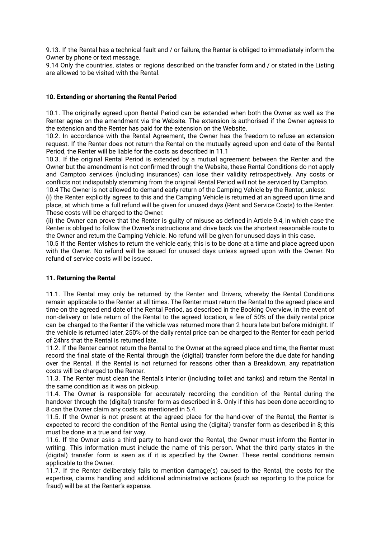9.13. If the Rental has a technical fault and / or failure, the Renter is obliged to immediately inform the Owner by phone or text message.

9.14 Only the countries, states or regions described on the transfer form and / or stated in the Listing are allowed to be visited with the Rental.

## **10. Extending or shortening the Rental Period**

10.1. The originally agreed upon Rental Period can be extended when both the Owner as well as the Renter agree on the amendment via the Website. The extension is authorised if the Owner agrees to the extension and the Renter has paid for the extension on the Website.

10.2. In accordance with the Rental Agreement, the Owner has the freedom to refuse an extension request. If the Renter does not return the Rental on the mutually agreed upon end date of the Rental Period, the Renter will be liable for the costs as described in 11.1

10.3. If the original Rental Period is extended by a mutual agreement between the Renter and the Owner but the amendment is not confirmed through the Website, these Rental Conditions do not apply and Camptoo services (including insurances) can lose their validity retrospectively. Any costs or conflicts not indisputably stemming from the original Rental Period will not be serviced by Camptoo. 10.4 The Owner is not allowed to demand early return of the Camping Vehicle by the Renter, unless:

(i) the Renter explicitly agrees to this and the Camping Vehicle is returned at an agreed upon time and place, at which time a full refund will be given for unused days (Rent and Service Costs) to the Renter. These costs will be charged to the Owner.

(ii) the Owner can prove that the Renter is guilty of misuse as defined in Article 9.4, in which case the Renter is obliged to follow the Owner's instructions and drive back via the shortest reasonable route to the Owner and return the Camping Vehicle. No refund will be given for unused days in this case.

10.5 If the Renter wishes to return the vehicle early, this is to be done at a time and place agreed upon with the Owner. No refund will be issued for unused days unless agreed upon with the Owner. No refund of service costs will be issued.

#### **11. Returning the Rental**

11.1. The Rental may only be returned by the Renter and Drivers, whereby the Rental Conditions remain applicable to the Renter at all times. The Renter must return the Rental to the agreed place and time on the agreed end date of the Rental Period, as described in the Booking Overview. In the event of non-delivery or late return of the Rental to the agreed location, a fee of 50% of the daily rental price can be charged to the Renter if the vehicle was returned more than 2 hours late but before midnight. If the vehicle is returned later, 250% of the daily rental price can be charged to the Renter for each period of 24hrs that the Rental is returned late.

11.2. If the Renter cannot return the Rental to the Owner at the agreed place and time, the Renter must record the final state of the Rental through the (digital) transfer form before the due date for handing over the Rental. If the Rental is not returned for reasons other than a Breakdown, any repatriation costs will be charged to the Renter.

11.3. The Renter must clean the Rental's interior (including toilet and tanks) and return the Rental in the same condition as it was on pick-up.

11.4. The Owner is responsible for accurately recording the condition of the Rental during the handover through the (digital) transfer form as described in 8. Only if this has been done according to 8 can the Owner claim any costs as mentioned in 5.4.

11.5. If the Owner is not present at the agreed place for the hand-over of the Rental, the Renter is expected to record the condition of the Rental using the (digital) transfer form as described in 8; this must be done in a true and fair way.

11.6. If the Owner asks a third party to hand-over the Rental, the Owner must inform the Renter in writing. This information must include the name of this person. What the third party states in the (digital) transfer form is seen as if it is specified by the Owner. These rental conditions remain applicable to the Owner.

11.7. If the Renter deliberately fails to mention damage(s) caused to the Rental, the costs for the expertise, claims handling and additional administrative actions (such as reporting to the police for fraud) will be at the Renter's expense.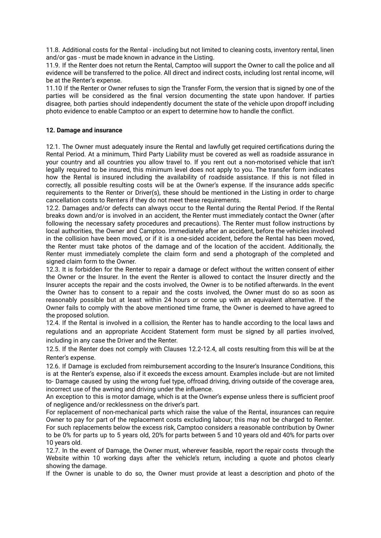11.8. Additional costs for the Rental - including but not limited to cleaning costs, inventory rental, linen and/or gas - must be made known in advance in the Listing.

11.9. If the Renter does not return the Rental, Camptoo will support the Owner to call the police and all evidence will be transferred to the police. All direct and indirect costs, including lost rental income, will be at the Renter's expense.

11.10 If the Renter or Owner refuses to sign the Transfer Form, the version that is signed by one of the parties will be considered as the final version documenting the state upon handover. If parties disagree, both parties should independently document the state of the vehicle upon dropoff including photo evidence to enable Camptoo or an expert to determine how to handle the conflict.

## **12. Damage and insurance**

12.1. The Owner must adequately insure the Rental and lawfully get required certifications during the Rental Period. At a minimum, Third Party Liability must be covered as well as roadside assurance in your country and all countries you allow travel to. If you rent out a non-motorised vehicle that isn't legally required to be insured, this minimum level does not apply to you. The transfer form indicates how the Rental is insured including the availability of roadside assistance. If this is not filled in correctly, all possible resulting costs will be at the Owner's expense. If the insurance adds specific requirements to the Renter or Driver(s), these should be mentioned in the Listing in order to charge cancellation costs to Renters if they do not meet these requirements.

12.2. Damages and/or defects can always occur to the Rental during the Rental Period. If the Rental breaks down and/or is involved in an accident, the Renter must immediately contact the Owner (after following the necessary safety procedures and precautions). The Renter must follow instructions by local authorities, the Owner and Camptoo. Immediately after an accident, before the vehicles involved in the collision have been moved, or if it is a one-sided accident, before the Rental has been moved, the Renter must take photos of the damage and of the location of the accident. Additionally, the Renter must immediately complete the claim form and send a photograph of the completed and signed claim form to the Owner.

12.3. It is forbidden for the Renter to repair a damage or defect without the written consent of either the Owner or the Insurer. In the event the Renter is allowed to contact the Insurer directly and the Insurer accepts the repair and the costs involved, the Owner is to be notified afterwards. In the event the Owner has to consent to a repair and the costs involved, the Owner must do so as soon as reasonably possible but at least within 24 hours or come up with an equivalent alternative. If the Owner fails to comply with the above mentioned time frame, the Owner is deemed to have agreed to the proposed solution.

12.4. If the Rental is involved in a collision, the Renter has to handle according to the local laws and regulations and an appropriate Accident Statement form must be signed by all parties involved, including in any case the Driver and the Renter.

12.5. If the Renter does not comply with Clauses 12.2-12.4, all costs resulting from this will be at the Renter's expense.

12.6. If Damage is excluded from reimbursement according to the Insurer's Insurance Conditions, this is at the Renter's expense, also if it exceeds the excess amount. Examples include -but are not limited to- Damage caused by using the wrong fuel type, offroad driving, driving outside of the coverage area, incorrect use of the awning and driving under the influence.

An exception to this is motor damage, which is at the Owner's expense unless there is sufficient proof of negligence and/or recklessness on the driver's part.

For replacement of non-mechanical parts which raise the value of the Rental, insurances can require Owner to pay for part of the replacement costs excluding labour; this may not be charged to Renter. For such replacements below the excess risk, Camptoo considers a reasonable contribution by Owner to be 0% for parts up to 5 years old, 20% for parts between 5 and 10 years old and 40% for parts over 10 years old.

12.7. In the event of Damage, the Owner must, wherever feasible, report the repair costs through the Website within 10 working days after the vehicle's return, including a quote and photos clearly showing the damage.

If the Owner is unable to do so, the Owner must provide at least a description and photo of the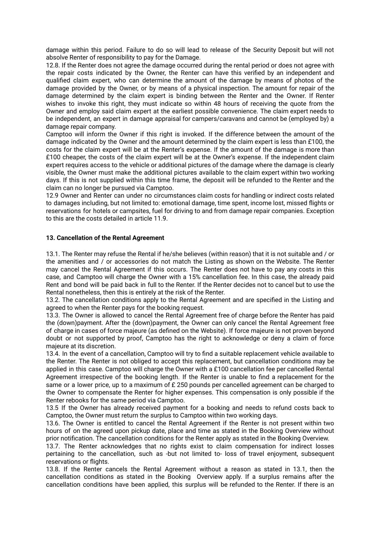damage within this period. Failure to do so will lead to release of the Security Deposit but will not absolve Renter of responsibility to pay for the Damage.

12.8. If the Renter does not agree the damage occurred during the rental period or does not agree with the repair costs indicated by the Owner, the Renter can have this verified by an independent and qualified claim expert, who can determine the amount of the damage by means of photos of the damage provided by the Owner, or by means of a physical inspection. The amount for repair of the damage determined by the claim expert is binding between the Renter and the Owner. If Renter wishes to invoke this right, they must indicate so within 48 hours of receiving the quote from the Owner and employ said claim expert at the earliest possible convenience. The claim expert needs to be independent, an expert in damage appraisal for campers/caravans and cannot be (employed by) a damage repair company.

Camptoo will inform the Owner if this right is invoked. If the difference between the amount of the damage indicated by the Owner and the amount determined by the claim expert is less than £100, the costs for the claim expert will be at the Renter's expense. If the amount of the damage is more than £100 cheaper, the costs of the claim expert will be at the Owner's expense. If the independent claim expert requires access to the vehicle or additional pictures of the damage where the damage is clearly visible, the Owner must make the additional pictures available to the claim expert within two working days. If this is not supplied within this time frame, the deposit will be refunded to the Renter and the claim can no longer be pursued via Camptoo.

12.9 Owner and Renter can under no circumstances claim costs for handling or indirect costs related to damages including, but not limited to: emotional damage, time spent, income lost, missed flights or reservations for hotels or campsites, fuel for driving to and from damage repair companies. Exception to this are the costs detailed in article 11.9.

#### **13. Cancellation of the Rental Agreement**

13.1. The Renter may refuse the Rental if he/she believes (within reason) that it is not suitable and / or the amenities and / or accessories do not match the Listing as shown on the Website. The Renter may cancel the Rental Agreement if this occurs. The Renter does not have to pay any costs in this case, and Camptoo will charge the Owner with a 15% cancellation fee. In this case, the already paid Rent and bond will be paid back in full to the Renter. If the Renter decides not to cancel but to use the Rental nonetheless, then this is entirely at the risk of the Renter.

13.2. The cancellation conditions apply to the Rental Agreement and are specified in the Listing and agreed to when the Renter pays for the booking request.

13.3. The Owner is allowed to cancel the Rental Agreement free of charge before the Renter has paid the (down)payment. After the (down)payment, the Owner can only cancel the Rental Agreement free of charge in cases of force majeure (as defined on the Website). If force majeure is not proven beyond doubt or not supported by proof, Camptoo has the right to acknowledge or deny a claim of force majeure at its discretion.

13.4. In the event of a cancellation, Camptoo will try to find a suitable replacement vehicle available to the Renter. The Renter is not obliged to accept this replacement, but cancellation conditions may be applied in this case. Camptoo will charge the Owner with a £100 cancellation fee per cancelled Rental Agreement irrespective of the booking length. If the Renter is unable to find a replacement for the same or a lower price, up to a maximum of £ 250 pounds per cancelled agreement can be charged to the Owner to compensate the Renter for higher expenses. This compensation is only possible if the Renter rebooks for the same period via Camptoo.

13.5 If the Owner has already received payment for a booking and needs to refund costs back to Camptoo, the Owner must return the surplus to Camptoo within two working days.

13.6. The Owner is entitled to cancel the Rental Agreement if the Renter is not present within two hours of on the agreed upon pickup date, place and time as stated in the Booking Overview without prior notification. The cancellation conditions for the Renter apply as stated in the Booking Overview.

13.7. The Renter acknowledges that no rights exist to claim compensation for indirect losses pertaining to the cancellation, such as -but not limited to- loss of travel enjoyment, subsequent reservations or flights.

13.8. If the Renter cancels the Rental Agreement without a reason as stated in 13.1, then the cancellation conditions as stated in the Booking Overview apply. If a surplus remains after the cancellation conditions have been applied, this surplus will be refunded to the Renter. If there is an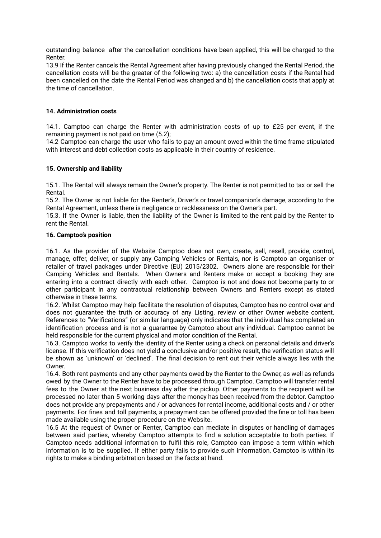outstanding balance after the cancellation conditions have been applied, this will be charged to the Renter.

13.9 If the Renter cancels the Rental Agreement after having previously changed the Rental Period, the cancellation costs will be the greater of the following two: a) the cancellation costs if the Rental had been cancelled on the date the Rental Period was changed and b) the cancellation costs that apply at the time of cancellation.

# **14. Administration costs**

14.1. Camptoo can charge the Renter with administration costs of up to £25 per event, if the remaining payment is not paid on time (5.2);

14.2 Camptoo can charge the user who fails to pay an amount owed within the time frame stipulated with interest and debt collection costs as applicable in their country of residence.

### **15. Ownership and liability**

15.1. The Rental will always remain the Owner's property. The Renter is not permitted to tax or sell the Rental.

15.2. The Owner is not liable for the Renter's, Driver's or travel companion's damage, according to the Rental Agreement, unless there is negligence or recklessness on the Owner's part.

15.3. If the Owner is liable, then the liability of the Owner is limited to the rent paid by the Renter to rent the Rental.

### **16. Camptoo's position**

16.1. As the provider of the Website Camptoo does not own, create, sell, resell, provide, control, manage, offer, deliver, or supply any Camping Vehicles or Rentals, nor is Camptoo an organiser or retailer of travel packages under Directive (EU) 2015/2302. Owners alone are responsible for their Camping Vehicles and Rentals. When Owners and Renters make or accept a booking they are entering into a contract directly with each other. Camptoo is not and does not become party to or other participant in any contractual relationship between Owners and Renters except as stated otherwise in these terms.

16.2. Whilst Camptoo may help facilitate the resolution of disputes, Camptoo has no control over and does not guarantee the truth or accuracy of any Listing, review or other Owner website content. References to "Verifications" (or similar language) only indicates that the individual has completed an identification process and is not a guarantee by Camptoo about any individual. Camptoo cannot be held responsible for the current physical and motor condition of the Rental.

16.3. Camptoo works to verify the identity of the Renter using a check on personal details and driver's license. If this verification does not yield a conclusive and/or positive result, the verification status will be shown as 'unknown' or 'declined'. The final decision to rent out their vehicle always lies with the Owner.

16.4. Both rent payments and any other payments owed by the Renter to the Owner, as well as refunds owed by the Owner to the Renter have to be processed through Camptoo. Camptoo will transfer rental fees to the Owner at the next business day after the pickup. Other payments to the recipient will be processed no later than 5 working days after the money has been received from the debtor. Camptoo does not provide any prepayments and / or advances for rental income, additional costs and / or other payments. For fines and toll payments, a prepayment can be offered provided the fine or toll has been made available using the proper procedure on the Website.

16.5 At the request of Owner or Renter, Camptoo can mediate in disputes or handling of damages between said parties, whereby Camptoo attempts to find a solution acceptable to both parties. If Camptoo needs additional information to fulfil this role, Camptoo can impose a term within which information is to be supplied. If either party fails to provide such information, Camptoo is within its rights to make a binding arbitration based on the facts at hand.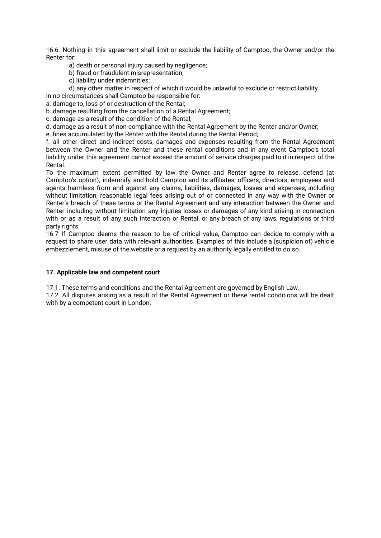16.6. Nothing in this agreement shall limit or exclude the liability of Camptoo, the Owner and/or the Renter for:

a) death or personal injury caused by negligence;

b) fraud or fraudulent misrepresentation;

c) liability under indemnities;

d) any other matter in respect of which it would be unlawful to exclude or restrict liability.

In no circumstances shall Camptoo be responsible for:

a. damage to, loss of or destruction of the Rental;

b. damage resulting from the cancellation of a Rental Agreement;

c. damage as a result of the condition of the Rental;

d. damage as a result of non-compliance with the Rental Agreement by the Renter and/or Owner;

e. fines accumulated by the Renter with the Rental during the Rental Period;

f. all other direct and indirect costs, damages and expenses resulting from the Rental Agreement between the Owner and the Renter and these rental conditions and in any event Camptoo's total liability under this agreement cannot exceed the amount of service charges paid to it in respect of the Rental.

To the maximum extent permitted by law the Owner and Renter agree to release, defend (at Camptoo's option), indemnify and hold Camptoo and its affiliates, officers, directors, employees and agents harmless from and against any claims, liabilities, damages, losses and expenses, including without limitation, reasonable legal fees arising out of or connected in any way with the Owner or Renter's breach of these terms or the Rental Agreement and any interaction between the Owner and Renter including without limitation any injuries losses or damages of any kind arising in connection with or as a result of any such interaction or Rental, or any breach of any laws, regulations or third party rights.

16.7 If Camptoo deems the reason to be of critical value, Camptoo can decide to comply with a request to share user data with relevant authorities. Examples of this include a (suspicion of) vehicle embezzlement, misuse of the website or a request by an authority legally entitled to do so.

#### **17. Applicable law and competent court**

17.1. These terms and conditions and the Rental Agreement are governed by English Law.

17.2. All disputes arising as a result of the Rental Agreement or these rental conditions will be dealt with by a competent court in London.